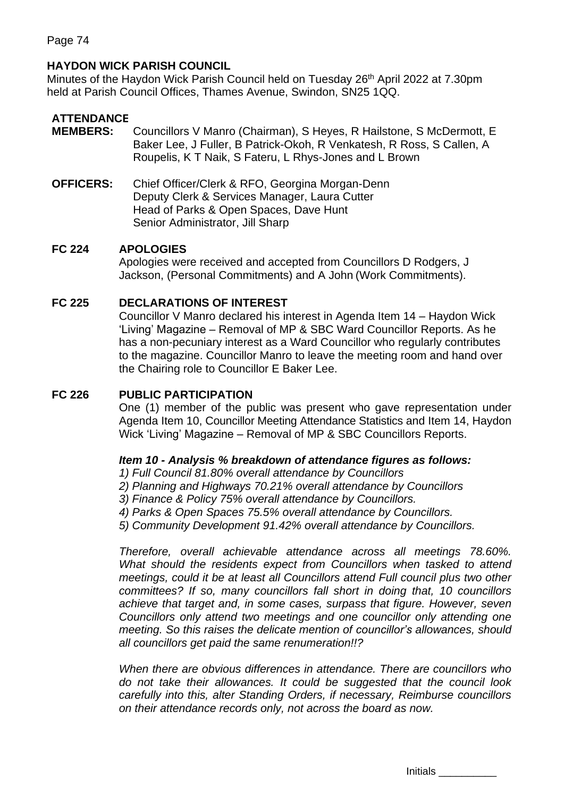# **HAYDON WICK PARISH COUNCIL**

Minutes of the Haydon Wick Parish Council held on Tuesday 26<sup>th</sup> April 2022 at 7.30pm held at Parish Council Offices, Thames Avenue, Swindon, SN25 1QQ.

## **ATTENDANCE**

- **MEMBERS:** Councillors V Manro (Chairman), S Heyes, R Hailstone, S McDermott, E Baker Lee, J Fuller, B Patrick-Okoh, R Venkatesh, R Ross, S Callen, A Roupelis, K T Naik, S Fateru, L Rhys-Jones and L Brown
- **OFFICERS:** Chief Officer/Clerk & RFO, Georgina Morgan-Denn Deputy Clerk & Services Manager, Laura Cutter Head of Parks & Open Spaces, Dave Hunt Senior Administrator, Jill Sharp

## **FC 224 APOLOGIES**

Apologies were received and accepted from Councillors D Rodgers, J Jackson, (Personal Commitments) and A John (Work Commitments).

## **FC 225 DECLARATIONS OF INTEREST**

Councillor V Manro declared his interest in Agenda Item 14 – Haydon Wick 'Living' Magazine – Removal of MP & SBC Ward Councillor Reports. As he has a non-pecuniary interest as a Ward Councillor who regularly contributes to the magazine. Councillor Manro to leave the meeting room and hand over the Chairing role to Councillor E Baker Lee.

## **FC 226 PUBLIC PARTICIPATION**

One (1) member of the public was present who gave representation under Agenda Item 10, Councillor Meeting Attendance Statistics and Item 14, Haydon Wick 'Living' Magazine – Removal of MP & SBC Councillors Reports.

#### *Item 10 - Analysis % breakdown of attendance figures as follows:*

*1) Full Council 81.80% overall attendance by Councillors*

- *2) Planning and Highways 70.21% overall attendance by Councillors*
- *3) Finance & Policy 75% overall attendance by Councillors.*

*4) Parks & Open Spaces 75.5% overall attendance by Councillors.*

*5) Community Development 91.42% overall attendance by Councillors.*

*Therefore, overall achievable attendance across all meetings 78.60%.* What should the residents expect from Councillors when tasked to attend *meetings, could it be at least all Councillors attend Full council plus two other committees? If so, many councillors fall short in doing that, 10 councillors achieve that target and, in some cases, surpass that figure. However, seven Councillors only attend two meetings and one councillor only attending one meeting. So this raises the delicate mention of councillor's allowances, should all councillors get paid the same renumeration!!?* 

*When there are obvious differences in attendance. There are councillors who do not take their allowances. It could be suggested that the council look carefully into this, alter Standing Orders, if necessary, Reimburse councillors on their attendance records only, not across the board as now.* 

Initials \_\_\_\_\_\_\_\_\_\_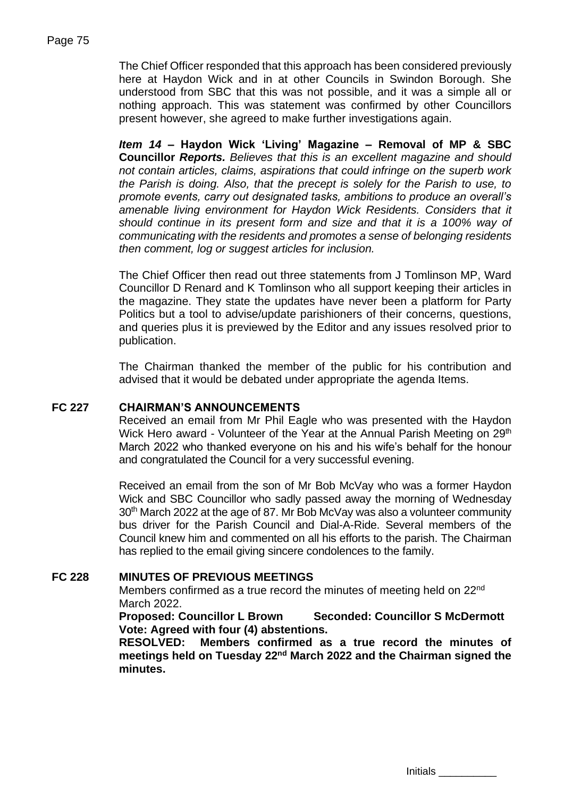The Chief Officer responded that this approach has been considered previously here at Haydon Wick and in at other Councils in Swindon Borough. She understood from SBC that this was not possible, and it was a simple all or nothing approach. This was statement was confirmed by other Councillors present however, she agreed to make further investigations again.

*Item 14 –* **Haydon Wick 'Living' Magazine – Removal of MP & SBC Councillor** *Reports. Believes that this is an excellent magazine and should not contain articles, claims, aspirations that could infringe on the superb work the Parish is doing. Also, that the precept is solely for the Parish to use, to promote events, carry out designated tasks, ambitions to produce an overall's*  amenable living environment for Haydon Wick Residents. Considers that it *should continue in its present form and size and that it is a 100% way of communicating with the residents and promotes a sense of belonging residents then comment, log or suggest articles for inclusion.* 

The Chief Officer then read out three statements from J Tomlinson MP, Ward Councillor D Renard and K Tomlinson who all support keeping their articles in the magazine. They state the updates have never been a platform for Party Politics but a tool to advise/update parishioners of their concerns, questions, and queries plus it is previewed by the Editor and any issues resolved prior to publication.

The Chairman thanked the member of the public for his contribution and advised that it would be debated under appropriate the agenda Items.

## **FC 227 CHAIRMAN'S ANNOUNCEMENTS**

Received an email from Mr Phil Eagle who was presented with the Haydon Wick Hero award - Volunteer of the Year at the Annual Parish Meeting on 29<sup>th</sup> March 2022 who thanked everyone on his and his wife's behalf for the honour and congratulated the Council for a very successful evening.

Received an email from the son of Mr Bob McVay who was a former Haydon Wick and SBC Councillor who sadly passed away the morning of Wednesday 30<sup>th</sup> March 2022 at the age of 87. Mr Bob McVay was also a volunteer community bus driver for the Parish Council and Dial-A-Ride. Several members of the Council knew him and commented on all his efforts to the parish. The Chairman has replied to the email giving sincere condolences to the family.

## **FC 228 MINUTES OF PREVIOUS MEETINGS**

Members confirmed as a true record the minutes of meeting held on 22<sup>nd</sup> March 2022.

**Proposed: Councillor L Brown Seconded: Councillor S McDermott Vote: Agreed with four (4) abstentions.**

**RESOLVED: Members confirmed as a true record the minutes of**  meetings held on Tuesday 22<sup>nd</sup> March 2022 and the Chairman signed the **minutes.**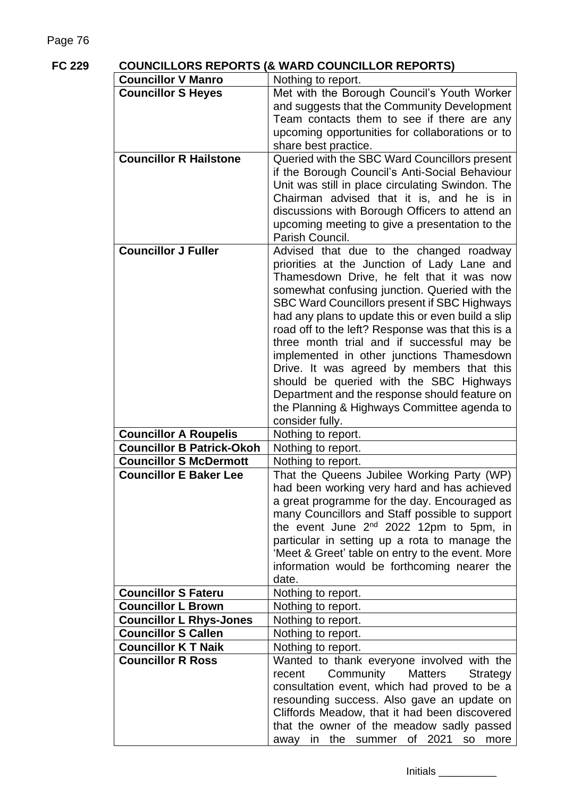|  | n<br>r |
|--|--------|
|--|--------|

# **FC 229 COUNCILLORS REPORTS (& WARD COUNCILLOR REPORTS)**

| <b>Councillor V Manro</b>        | Nothing to report.                                                                                                                                                                                                                                                                                                                                                                                                                                                                                                                                                                                                                                   |
|----------------------------------|------------------------------------------------------------------------------------------------------------------------------------------------------------------------------------------------------------------------------------------------------------------------------------------------------------------------------------------------------------------------------------------------------------------------------------------------------------------------------------------------------------------------------------------------------------------------------------------------------------------------------------------------------|
| <b>Councillor S Heyes</b>        | Met with the Borough Council's Youth Worker<br>and suggests that the Community Development<br>Team contacts them to see if there are any<br>upcoming opportunities for collaborations or to                                                                                                                                                                                                                                                                                                                                                                                                                                                          |
|                                  | share best practice.                                                                                                                                                                                                                                                                                                                                                                                                                                                                                                                                                                                                                                 |
| <b>Councillor R Hailstone</b>    | Queried with the SBC Ward Councillors present<br>if the Borough Council's Anti-Social Behaviour<br>Unit was still in place circulating Swindon. The<br>Chairman advised that it is, and he is in<br>discussions with Borough Officers to attend an<br>upcoming meeting to give a presentation to the<br>Parish Council.                                                                                                                                                                                                                                                                                                                              |
| <b>Councillor J Fuller</b>       | Advised that due to the changed roadway<br>priorities at the Junction of Lady Lane and<br>Thamesdown Drive, he felt that it was now<br>somewhat confusing junction. Queried with the<br>SBC Ward Councillors present if SBC Highways<br>had any plans to update this or even build a slip<br>road off to the left? Response was that this is a<br>three month trial and if successful may be<br>implemented in other junctions Thamesdown<br>Drive. It was agreed by members that this<br>should be queried with the SBC Highways<br>Department and the response should feature on<br>the Planning & Highways Committee agenda to<br>consider fully. |
| <b>Councillor A Roupelis</b>     | Nothing to report.                                                                                                                                                                                                                                                                                                                                                                                                                                                                                                                                                                                                                                   |
| <b>Councillor B Patrick-Okoh</b> | Nothing to report.                                                                                                                                                                                                                                                                                                                                                                                                                                                                                                                                                                                                                                   |
| <b>Councillor S McDermott</b>    | Nothing to report.                                                                                                                                                                                                                                                                                                                                                                                                                                                                                                                                                                                                                                   |
| <b>Councillor E Baker Lee</b>    | That the Queens Jubilee Working Party (WP)<br>had been working very hard and has achieved<br>a great programme for the day. Encouraged as<br>many Councillors and Staff possible to support<br>the event June $2^{nd}$ 2022 12pm to 5pm, in<br>particular in setting up a rota to manage the<br>'Meet & Greet' table on entry to the event. More<br>information would be forthcoming nearer the<br>date.                                                                                                                                                                                                                                             |
| <b>Councillor S Fateru</b>       | Nothing to report.                                                                                                                                                                                                                                                                                                                                                                                                                                                                                                                                                                                                                                   |
| <b>Councillor L Brown</b>        | Nothing to report.                                                                                                                                                                                                                                                                                                                                                                                                                                                                                                                                                                                                                                   |
| <b>Councillor L Rhys-Jones</b>   | Nothing to report.                                                                                                                                                                                                                                                                                                                                                                                                                                                                                                                                                                                                                                   |
| <b>Councillor S Callen</b>       | Nothing to report.                                                                                                                                                                                                                                                                                                                                                                                                                                                                                                                                                                                                                                   |
| <b>Councillor K T Naik</b>       | Nothing to report.                                                                                                                                                                                                                                                                                                                                                                                                                                                                                                                                                                                                                                   |
| <b>Councillor R Ross</b>         | Wanted to thank everyone involved with the<br>Community<br>recent<br><b>Matters</b><br>Strategy<br>consultation event, which had proved to be a<br>resounding success. Also gave an update on<br>Cliffords Meadow, that it had been discovered<br>that the owner of the meadow sadly passed<br>of 2021<br>away<br>in the summer<br><b>SO</b><br>more                                                                                                                                                                                                                                                                                                 |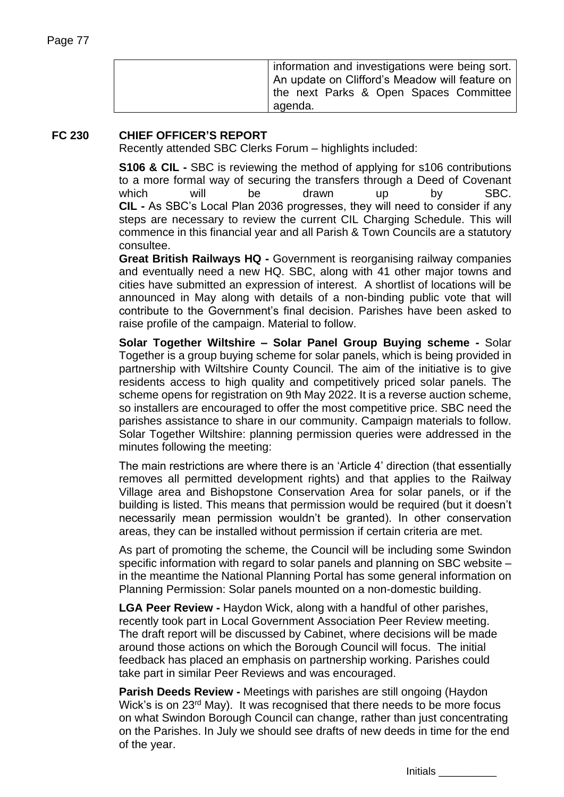| information and investigations were being sort.<br>An update on Clifford's Meadow will feature on |
|---------------------------------------------------------------------------------------------------|
| the next Parks & Open Spaces Committee<br>agenda.                                                 |

## **FC 230 CHIEF OFFICER'S REPORT**

Recently attended SBC Clerks Forum – highlights included:

**S106 & CIL -** SBC is reviewing the method of applying for s106 contributions to a more formal way of securing the transfers through a Deed of Covenant which will be drawn up by SBC. **CIL -** As SBC's Local Plan 2036 progresses, they will need to consider if any steps are necessary to review the current CIL Charging Schedule. This will commence in this financial year and all Parish & Town Councils are a statutory consultee.

**Great British Railways HQ -** Government is reorganising railway companies and eventually need a new HQ. SBC, along with 41 other major towns and cities have submitted an expression of interest. A shortlist of locations will be announced in May along with details of a non-binding public vote that will contribute to the Government's final decision. Parishes have been asked to raise profile of the campaign. Material to follow.

**Solar Together Wiltshire – Solar Panel Group Buying scheme -** Solar Together is a group buying scheme for solar panels, which is being provided in partnership with Wiltshire County Council. The aim of the initiative is to give residents access to high quality and competitively priced solar panels. The scheme opens for registration on 9th May 2022. It is a reverse auction scheme, so installers are encouraged to offer the most competitive price. SBC need the parishes assistance to share in our community. Campaign materials to follow. Solar Together Wiltshire: planning permission queries were addressed in the minutes following the meeting:

The main restrictions are where there is an 'Article 4' direction (that essentially removes all permitted development rights) and that applies to the Railway Village area and Bishopstone Conservation Area for solar panels, or if the building is listed. This means that permission would be required (but it doesn't necessarily mean permission wouldn't be granted). In other conservation areas, they can be installed without permission if certain criteria are met.

As part of promoting the scheme, the Council will be including some Swindon specific information with regard to solar panels and planning on SBC website – in the meantime the National Planning Portal has some general information on Planning Permission: Solar panels mounted on a non-domestic building.

**LGA Peer Review -** Haydon Wick, along with a handful of other parishes, recently took part in Local Government Association Peer Review meeting. The draft report will be discussed by Cabinet, where decisions will be made around those actions on which the Borough Council will focus. The initial feedback has placed an emphasis on partnership working. Parishes could take part in similar Peer Reviews and was encouraged.

**Parish Deeds Review -** Meetings with parishes are still ongoing (Haydon Wick's is on 23<sup>rd</sup> May). It was recognised that there needs to be more focus on what Swindon Borough Council can change, rather than just concentrating on the Parishes. In July we should see drafts of new deeds in time for the end of the year.

Initials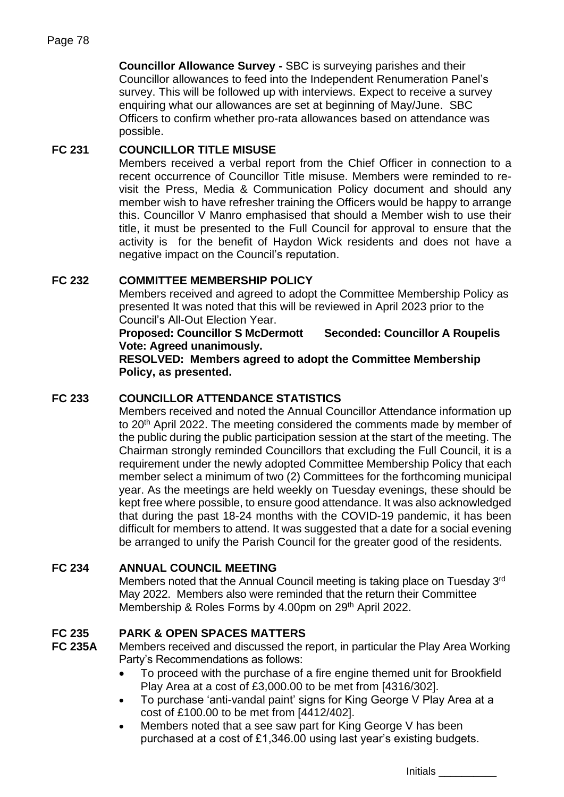**Councillor Allowance Survey -** SBC is surveying parishes and their Councillor allowances to feed into the Independent Renumeration Panel's survey. This will be followed up with interviews. Expect to receive a survey enquiring what our allowances are set at beginning of May/June. SBC Officers to confirm whether pro-rata allowances based on attendance was possible.

# **FC 231 COUNCILLOR TITLE MISUSE**

Members received a verbal report from the Chief Officer in connection to a recent occurrence of Councillor Title misuse. Members were reminded to revisit the Press, Media & Communication Policy document and should any member wish to have refresher training the Officers would be happy to arrange this. Councillor V Manro emphasised that should a Member wish to use their title, it must be presented to the Full Council for approval to ensure that the activity is for the benefit of Haydon Wick residents and does not have a negative impact on the Council's reputation.

## **FC 232 COMMITTEE MEMBERSHIP POLICY**

Members received and agreed to adopt the Committee Membership Policy as presented It was noted that this will be reviewed in April 2023 prior to the Council's All-Out Election Year.

**Proposed: Councillor S McDermott Seconded: Councillor A Roupelis Vote: Agreed unanimously.**

**RESOLVED: Members agreed to adopt the Committee Membership Policy, as presented.** 

## **FC 233 COUNCILLOR ATTENDANCE STATISTICS**

Members received and noted the Annual Councillor Attendance information up to 20<sup>th</sup> April 2022. The meeting considered the comments made by member of the public during the public participation session at the start of the meeting. The Chairman strongly reminded Councillors that excluding the Full Council, it is a requirement under the newly adopted Committee Membership Policy that each member select a minimum of two (2) Committees for the forthcoming municipal year. As the meetings are held weekly on Tuesday evenings, these should be kept free where possible, to ensure good attendance. It was also acknowledged that during the past 18-24 months with the COVID-19 pandemic, it has been difficult for members to attend. It was suggested that a date for a social evening be arranged to unify the Parish Council for the greater good of the residents.

## **FC 234 ANNUAL COUNCIL MEETING**

Members noted that the Annual Council meeting is taking place on Tuesday 3<sup>rd</sup> May 2022. Members also were reminded that the return their Committee Membership & Roles Forms by 4.00pm on 29<sup>th</sup> April 2022.

# **FC 235 PARK & OPEN SPACES MATTERS**

**FC 235A** Members received and discussed the report, in particular the Play Area Working Party's Recommendations as follows:

- To proceed with the purchase of a fire engine themed unit for Brookfield Play Area at a cost of £3,000.00 to be met from [4316/302].
- To purchase 'anti-vandal paint' signs for King George V Play Area at a cost of £100.00 to be met from [4412/402].
- Members noted that a see saw part for King George V has been purchased at a cost of £1,346.00 using last year's existing budgets.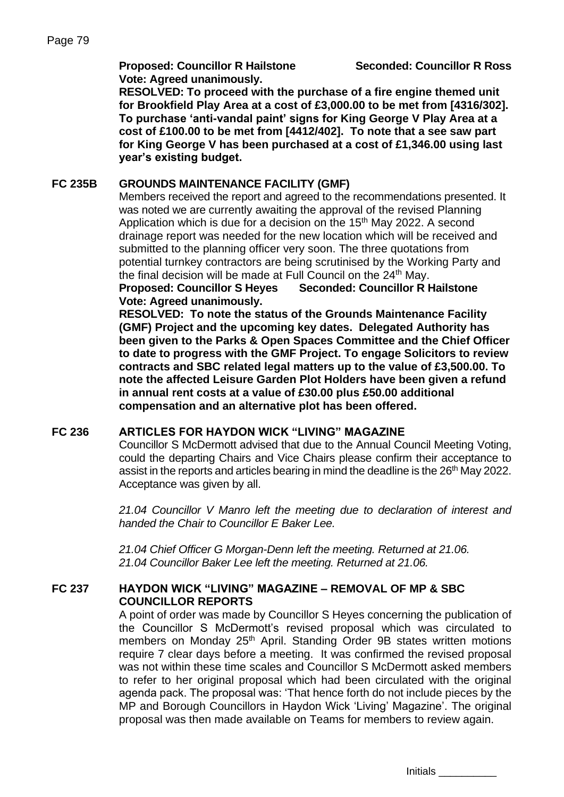**Proposed: Councillor R Hailstone Seconded: Councillor R Ross Vote: Agreed unanimously.**

**RESOLVED: To proceed with the purchase of a fire engine themed unit for Brookfield Play Area at a cost of £3,000.00 to be met from [4316/302]. To purchase 'anti-vandal paint' signs for King George V Play Area at a cost of £100.00 to be met from [4412/402]. To note that a see saw part for King George V has been purchased at a cost of £1,346.00 using last year's existing budget.**

## **FC 235B GROUNDS MAINTENANCE FACILITY (GMF)**

Members received the report and agreed to the recommendations presented. It was noted we are currently awaiting the approval of the revised Planning Application which is due for a decision on the 15<sup>th</sup> May 2022. A second drainage report was needed for the new location which will be received and submitted to the planning officer very soon. The three quotations from potential turnkey contractors are being scrutinised by the Working Party and the final decision will be made at Full Council on the 24<sup>th</sup> May.

**Proposed: Councillor S Heyes Seconded: Councillor R Hailstone Vote: Agreed unanimously.**

**RESOLVED: To note the status of the Grounds Maintenance Facility (GMF) Project and the upcoming key dates. Delegated Authority has been given to the Parks & Open Spaces Committee and the Chief Officer to date to progress with the GMF Project. To engage Solicitors to review contracts and SBC related legal matters up to the value of £3,500.00. To note the affected Leisure Garden Plot Holders have been given a refund in annual rent costs at a value of £30.00 plus £50.00 additional compensation and an alternative plot has been offered.**

## **FC 236 ARTICLES FOR HAYDON WICK "LIVING" MAGAZINE**

Councillor S McDermott advised that due to the Annual Council Meeting Voting, could the departing Chairs and Vice Chairs please confirm their acceptance to assist in the reports and articles bearing in mind the deadline is the 26<sup>th</sup> May 2022. Acceptance was given by all.

*21.04 Councillor V Manro left the meeting due to declaration of interest and handed the Chair to Councillor E Baker Lee.*

*21.04 Chief Officer G Morgan-Denn left the meeting. Returned at 21.06. 21.04 Councillor Baker Lee left the meeting. Returned at 21.06.*

## **FC 237 HAYDON WICK "LIVING" MAGAZINE – REMOVAL OF MP & SBC COUNCILLOR REPORTS**

A point of order was made by Councillor S Heyes concerning the publication of the Councillor S McDermott's revised proposal which was circulated to members on Monday 25<sup>th</sup> April. Standing Order 9B states written motions require 7 clear days before a meeting. It was confirmed the revised proposal was not within these time scales and Councillor S McDermott asked members to refer to her original proposal which had been circulated with the original agenda pack. The proposal was: 'That hence forth do not include pieces by the MP and Borough Councillors in Haydon Wick 'Living' Magazine'. The original proposal was then made available on Teams for members to review again.

Initials \_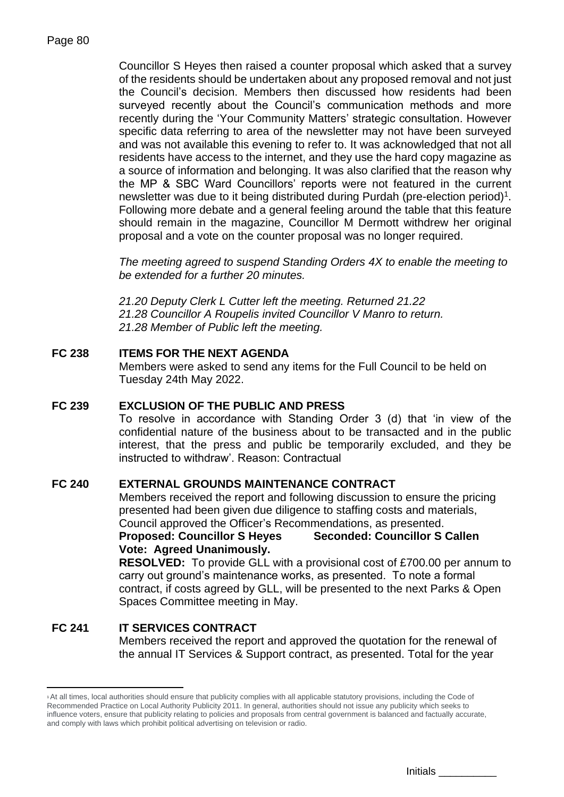Councillor S Heyes then raised a counter proposal which asked that a survey of the residents should be undertaken about any proposed removal and not just the Council's decision. Members then discussed how residents had been surveyed recently about the Council's communication methods and more recently during the 'Your Community Matters' strategic consultation. However specific data referring to area of the newsletter may not have been surveyed and was not available this evening to refer to. It was acknowledged that not all residents have access to the internet, and they use the hard copy magazine as a source of information and belonging. It was also clarified that the reason why the MP & SBC Ward Councillors' reports were not featured in the current newsletter was due to it being distributed during Purdah (pre-election period)<sup>1</sup>. Following more debate and a general feeling around the table that this feature should remain in the magazine, Councillor M Dermott withdrew her original proposal and a vote on the counter proposal was no longer required.

*The meeting agreed to suspend Standing Orders 4X to enable the meeting to be extended for a further 20 minutes.* 

*21.20 Deputy Clerk L Cutter left the meeting. Returned 21.22 21.28 Councillor A Roupelis invited Councillor V Manro to return. 21.28 Member of Public left the meeting.*

## **FC 238 ITEMS FOR THE NEXT AGENDA**

Members were asked to send any items for the Full Council to be held on Tuesday 24th May 2022.

## **FC 239 EXCLUSION OF THE PUBLIC AND PRESS**

To resolve in accordance with Standing Order 3 (d) that 'in view of the confidential nature of the business about to be transacted and in the public interest, that the press and public be temporarily excluded, and they be instructed to withdraw'. Reason: Contractual

#### **FC 240 EXTERNAL GROUNDS MAINTENANCE CONTRACT**

Members received the report and following discussion to ensure the pricing presented had been given due diligence to staffing costs and materials, Council approved the Officer's Recommendations, as presented. **Proposed: Councillor S Heyes Seconded: Councillor S Callen Vote: Agreed Unanimously.**

**RESOLVED:** To provide GLL with a provisional cost of £700.00 per annum to carry out ground's maintenance works, as presented. To note a formal contract, if costs agreed by GLL, will be presented to the next Parks & Open Spaces Committee meeting in May.

#### **FC 241 IT SERVICES CONTRACT** Members received the report and approved the quotation for the renewal of the annual IT Services & Support contract, as presented. Total for the year

<sup>1</sup> At all times, local authorities should ensure that publicity complies with all applicable statutory provisions, including the Code of Recommended Practice on Local Authority Publicity 2011. In general, authorities should not issue any publicity which seeks to influence voters, ensure that publicity relating to policies and proposals from central government is balanced and factually accurate, and comply with laws which prohibit political advertising on television or radio.